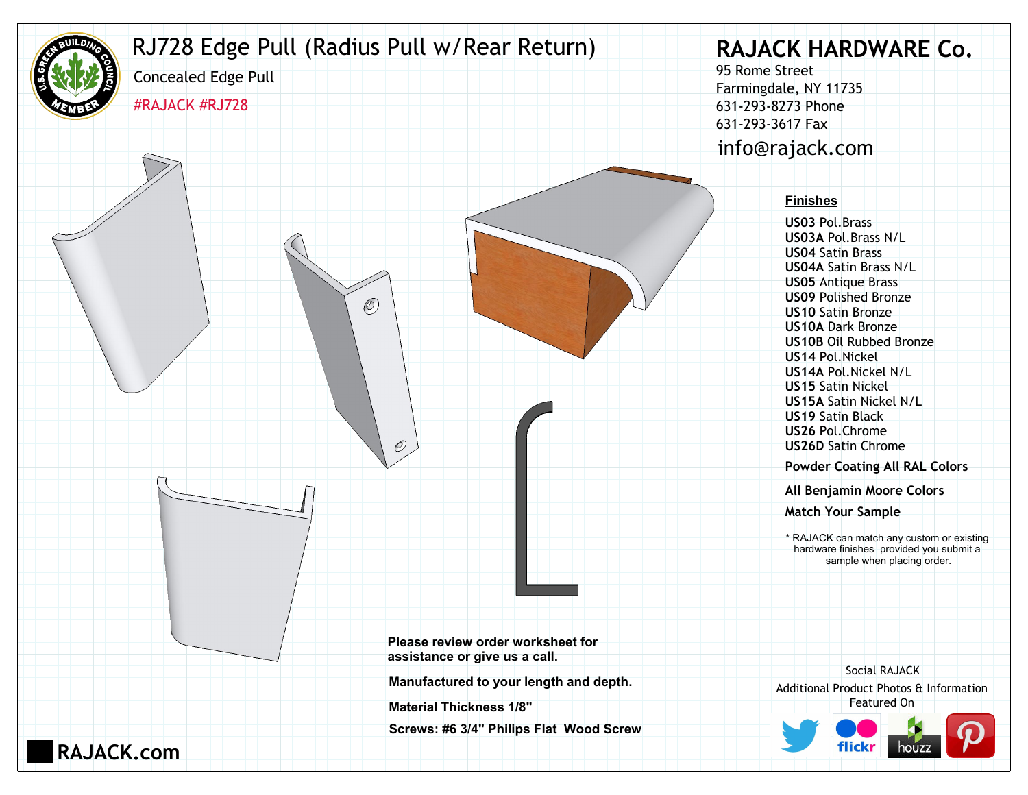

**RAJACK.com**

## RJ728 Edge Pull (Radius Pull w/Rear Return)

 $\mathcal{O}$ 

 $\mathcal{O}$ 

#RAJACK #RJ728

Concealed Edge Pull

## **RAJACK HARDWARE Co.**

95 Rome Street Farmingdale, NY 11735 631-293-8273 Phone 631-293-3617 Fax info@rajack.com

## **Finishes**

**US03** Pol.Brass **US03A** Pol.Brass N/L **US04** Satin Brass **US04A** Satin Brass N/L **US05** Antique Brass **US09** Polished Bronze **US10** Satin Bronze **US10A** Dark Bronze **US10B** Oil Rubbed Bronze **US14** Pol.Nickel **US14A** Pol.Nickel N/L **US15** Satin Nickel **US15A** Satin Nickel N/L **US19** Satin Black **US26** Pol.Chrome **US26D** Satin Chrome

**Powder Coating All RAL Colors**

**All Benjamin Moore Colors**

**Match Your Sample**

\* RAJACK can match any custom or existing hardware finishes provided you submit a sample when placing order.

**Please review order worksheet for assistance or give us a call.**

**Manufactured to your length and depth.**

**Material Thickness 1/8"**

**Screws: #6 3/4" Philips Flat Wood Screw**

Additional Product Photos & Information Featured On Social RAJACK

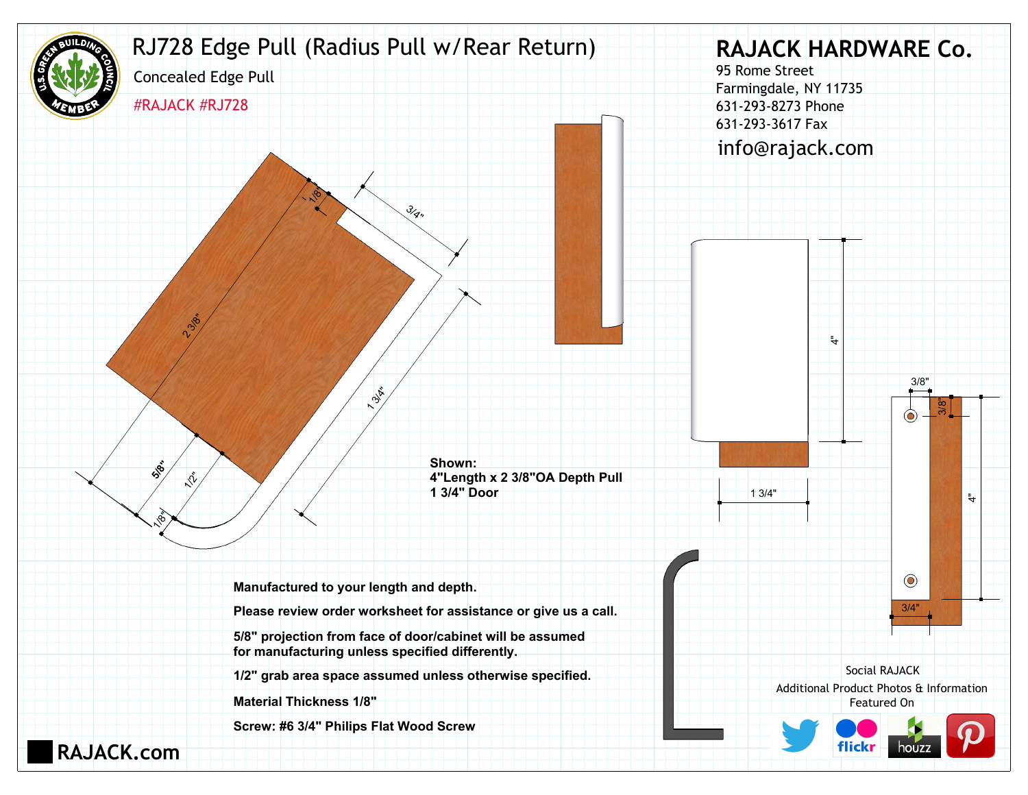